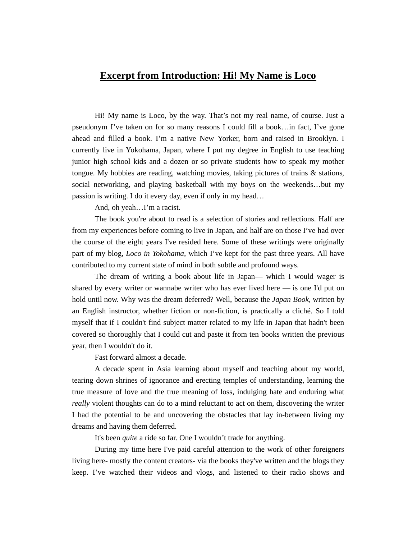## **Excerpt from Introduction: Hi! My Name is Loco**

Hi! My name is Loco, by the way. That's not my real name, of course. Just a pseudonym I've taken on for so many reasons I could fill a book…in fact, I've gone ahead and filled a book. I'm a native New Yorker, born and raised in Brooklyn. I currently live in Yokohama, Japan, where I put my degree in English to use teaching junior high school kids and a dozen or so private students how to speak my mother tongue. My hobbies are reading, watching movies, taking pictures of trains & stations, social networking, and playing basketball with my boys on the weekends…but my passion is writing. I do it every day, even if only in my head…

And, oh yeah…I'm a racist.

The book you're about to read is a selection of stories and reflections. Half are from my experiences before coming to live in Japan, and half are on those I've had over the course of the eight years I've resided here. Some of these writings were originally part of my blog, *Loco in Yokohama,* which I've kept for the past three years. All have contributed to my current state of mind in both subtle and profound ways.

The dream of writing a book about life in Japan— which I would wager is shared by every writer or wannabe writer who has ever lived here — is one I'd put on hold until now. Why was the dream deferred? Well, because the *Japan Book,* written by an English instructor, whether fiction or non-fiction, is practically a cliché. So I told myself that if I couldn't find subject matter related to my life in Japan that hadn't been covered so thoroughly that I could cut and paste it from ten books written the previous year, then I wouldn't do it.

Fast forward almost a decade.

A decade spent in Asia learning about myself and teaching about my world, tearing down shrines of ignorance and erecting temples of understanding, learning the true measure of love and the true meaning of loss, indulging hate and enduring what *really* violent thoughts can do to a mind reluctant to act on them, discovering the writer I had the potential to be and uncovering the obstacles that lay in-between living my dreams and having them deferred.

It's been *quite* a ride so far. One I wouldn't trade for anything.

During my time here I've paid careful attention to the work of other foreigners living here- mostly the content creators- via the books they've written and the blogs they keep. I've watched their videos and vlogs, and listened to their radio shows and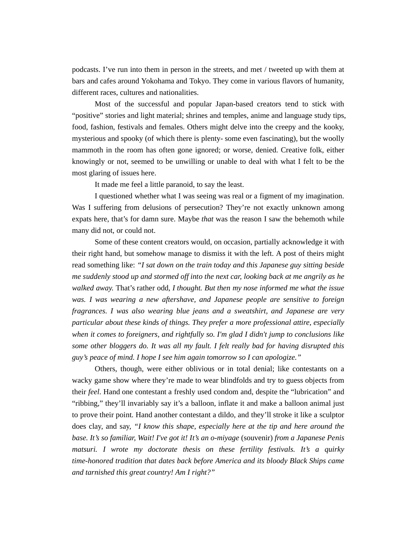podcasts. I've run into them in person in the streets, and met / tweeted up with them at bars and cafes around Yokohama and Tokyo. They come in various flavors of humanity, different races, cultures and nationalities.

Most of the successful and popular Japan-based creators tend to stick with "positive" stories and light material; shrines and temples, anime and language study tips, food, fashion, festivals and females. Others might delve into the creepy and the kooky, mysterious and spooky (of which there is plenty- some even fascinating), but the woolly mammoth in the room has often gone ignored; or worse, denied. Creative folk, either knowingly or not, seemed to be unwilling or unable to deal with what I felt to be the most glaring of issues here.

It made me feel a little paranoid, to say the least.

I questioned whether what I was seeing was real or a figment of my imagination. Was I suffering from delusions of persecution? They're not exactly unknown among expats here, that's for damn sure. Maybe *that* was the reason I saw the behemoth while many did not, or could not.

Some of these content creators would, on occasion, partially acknowledge it with their right hand, but somehow manage to dismiss it with the left. A post of theirs might read something like: *"I sat down on the train today and this Japanese guy sitting beside me suddenly stood up and stormed off into the next car, looking back at me angrily as he walked away.* That's rather odd*, I thought. But then my nose informed me what the issue was. I was wearing a new aftershave, and Japanese people are sensitive to foreign fragrances. I was also wearing blue jeans and a sweatshirt, and Japanese are very particular about these kinds of things. They prefer a more professional attire, especially when it comes to foreigners, and rightfully so. I'm glad I didn't jump to conclusions like some other bloggers do. It was all my fault. I felt really bad for having disrupted this guy's peace of mind. I hope I see him again tomorrow so I can apologize."*

Others, though, were either oblivious or in total denial; like contestants on a wacky game show where they're made to wear blindfolds and try to guess objects from their *feel*. Hand one contestant a freshly used condom and, despite the "lubrication" and "ribbing," they'll invariably say it's a balloon, inflate it and make a balloon animal just to prove their point. Hand another contestant a dildo, and they'll stroke it like a sculptor does clay, and say, *"I know this shape, especially here at the tip and here around the base. It's so familiar, Wait! I've got it! It's an o-miyage* (souvenir) *from a Japanese Penis matsuri. I wrote my doctorate thesis on these fertility festivals. It's a quirky time-honored tradition that dates back before America and its bloody Black Ships came and tarnished this great country! Am I right?"*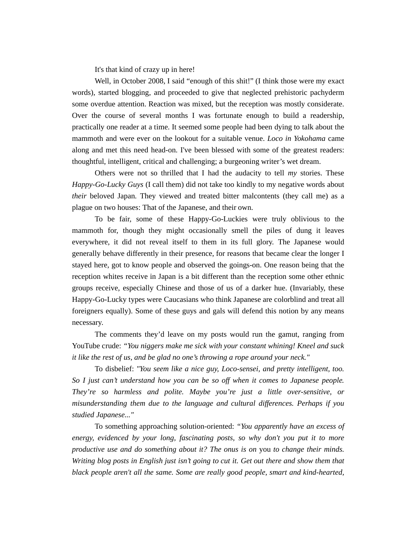It's that kind of crazy up in here!

Well, in October 2008, I said "enough of this shit!" (I think those were my exact words), started blogging*,* and proceeded to give that neglected prehistoric pachyderm some overdue attention. Reaction was mixed, but the reception was mostly considerate. Over the course of several months I was fortunate enough to build a readership, practically one reader at a time. It seemed some people had been dying to talk about the mammoth and were ever on the lookout for a suitable venue. *Loco in Yokohama* came along and met this need head-on. I've been blessed with some of the greatest readers: thoughtful, intelligent, critical and challenging; a burgeoning writer's wet dream.

Others were not so thrilled that I had the audacity to tell *my* stories. These *Happy-Go-Lucky Guys* (I call them) did not take too kindly to my negative words about *their* beloved Japan. They viewed and treated bitter malcontents (they call me) as a plague on two houses: That of the Japanese, and their own.

To be fair, some of these Happy-Go-Luckies were truly oblivious to the mammoth for, though they might occasionally smell the piles of dung it leaves everywhere, it did not reveal itself to them in its full glory. The Japanese would generally behave differently in their presence, for reasons that became clear the longer I stayed here, got to know people and observed the goings-on. One reason being that the reception whites receive in Japan is a bit different than the reception some other ethnic groups receive, especially Chinese and those of us of a darker hue. (Invariably, these Happy-Go-Lucky types were Caucasians who think Japanese are colorblind and treat all foreigners equally). Some of these guys and gals will defend this notion by any means necessary.

The comments they'd leave on my posts would run the gamut, ranging from YouTube crude: *"You niggers make me sick with your constant whining! Kneel and suck it like the rest of us, and be glad no one's throwing a rope around your neck."*

To disbelief: *"You seem like a nice guy, Loco-sensei, and pretty intelligent, too. So I just can't understand how you can be so off when it comes to Japanese people. They're so harmless and polite. Maybe you're just a little over-sensitive, or misunderstanding them due to the language and cultural differences. Perhaps if you studied Japanese..."*

To something approaching solution-oriented: *"You apparently have an excess of energy, evidenced by your long, fascinating posts, so why don't you put it to more productive use and do something about it? The onus is on* you *to change their minds. Writing blog posts in English just isn't going to cut it. Get out there and show them that black people aren't all the same. Some are really good people, smart and kind-hearted,*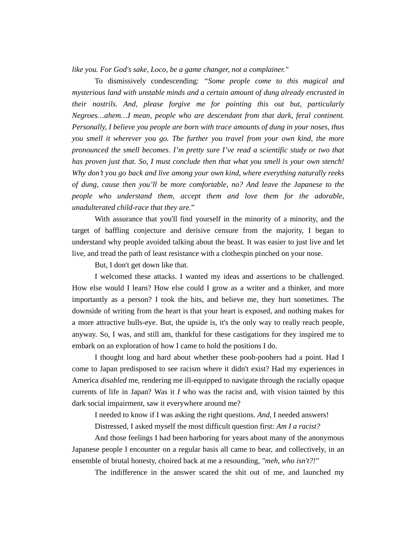*like you. For God's sake, Loco, be a game changer, not a complainer."*

To dismissively condescending: *"Some people come to this magical and mysterious land with unstable minds and a certain amount of dung already encrusted in their nostrils. And, please forgive me for pointing this out but, particularly Negroes…ahem…I mean, people who are descendant from that dark, feral continent. Personally, I believe you people are born with trace amounts of dung in your noses, thus you smell it wherever you go. The further you travel from your own kind, the more pronounced the smell becomes. I'm pretty sure I've read a scientific study or two that has proven just that. So, I must conclude then that what you smell is your own stench! Why don't you go back and live among your own kind, where everything naturally reeks of dung, cause then you'll be more comfortable, no? And leave the Japanese to the people who understand them, accept them and love them for the adorable, unadulterated child-race that they are.*"

With assurance that you'll find yourself in the minority of a minority, and the target of baffling conjecture and derisive censure from the majority, I began to understand why people avoided talking about the beast. It was easier to just live and let live, and tread the path of least resistance with a clothespin pinched on your nose.

But, I don't get down like that.

I welcomed these attacks. I wanted my ideas and assertions to be challenged. How else would I learn? How else could I grow as a writer and a thinker, and more importantly as a person? I took the hits, and believe me, they hurt sometimes. The downside of writing from the heart is that your heart is exposed, and nothing makes for a more attractive bulls-eye. But, the upside is, it's the only way to really reach people, anyway. So, I was, and still am, thankful for these castigations for they inspired me to embark on an exploration of how I came to hold the positions I do.

I thought long and hard about whether these pooh-poohers had a point. Had I come to Japan predisposed to see racism where it didn't exist? Had my experiences in America *disabled* me, rendering me ill-equipped to navigate through the racially opaque currents of life in Japan? Was it *I* who was the racist and, with vision tainted by this dark social impairment, saw it everywhere around me?

I needed to know if I was asking the right questions. *And*, I needed answers!

Distressed, I asked myself the most difficult question first: *Am I a racist?* 

And those feelings I had been harboring for years about many of the anonymous Japanese people I encounter on a regular basis all came to bear, and collectively, in an ensemble of brutal honesty, choired back at me a resounding, *"meh, who isn't?!"*

The indifference in the answer scared the shit out of me, and launched my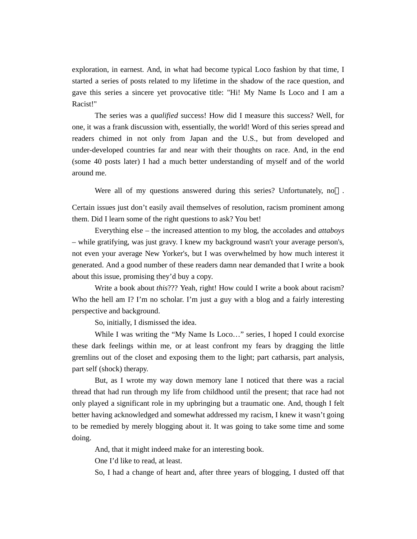exploration, in earnest. And, in what had become typical Loco fashion by that time, I started a series of posts related to my lifetime in the shadow of the race question, and gave this series a sincere yet provocative title: "Hi! My Name Is Loco and I am a Racist!"

The series was a *qualified* success! How did I measure this success? Well, for one, it was a frank discussion with, essentially, the world! Word of this series spread and readers chimed in not only from Japan and the U.S., but from developed and under-developed countries far and near with their thoughts on race. And, in the end (some 40 posts later) I had a much better understanding of myself and of the world around me.

Were all of my questions answered during this series? Unfortunately, no.

Certain issues just don't easily avail themselves of resolution, racism prominent among them. Did I learn some of the right questions to ask? You bet!

Everything else – the increased attention to my blog, the accolades and *attaboys* – while gratifying, was just gravy. I knew my background wasn't your average person's, not even your average New Yorker's, but I was overwhelmed by how much interest it generated. And a good number of these readers damn near demanded that I write a book about this issue, promising they'd buy a copy.

Write a book about *this*??? Yeah, right! How could I write a book about racism? Who the hell am I? I'm no scholar. I'm just a guy with a blog and a fairly interesting perspective and background.

So, initially, I dismissed the idea.

While I was writing the "My Name Is Loco…" series, I hoped I could exorcise these dark feelings within me, or at least confront my fears by dragging the little gremlins out of the closet and exposing them to the light; part catharsis, part analysis, part self (shock) therapy.

But, as I wrote my way down memory lane I noticed that there was a racial thread that had run through my life from childhood until the present; that race had not only played a significant role in my upbringing but a traumatic one. And, though I felt better having acknowledged and somewhat addressed my racism, I knew it wasn't going to be remedied by merely blogging about it. It was going to take some time and some doing.

And, that it might indeed make for an interesting book.

One I'd like to read, at least.

So, I had a change of heart and, after three years of blogging, I dusted off that